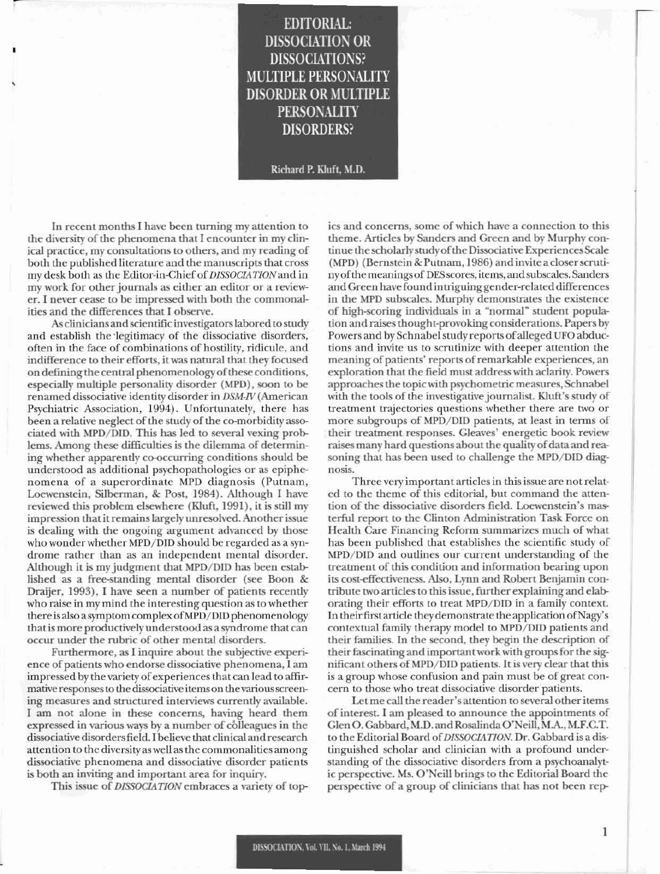## **EDITORIAL: DISSOCIATION OR DISSOCIATIONS? MULTIPLE PERSONALITY DISORDER OR MULTIPLE PERSONALITY DISORDERS?**

Richard P. Kluft, M.D.

In recent months I have been turning my attention to the diversity of the phenomena that I encounter in my clinical practice, my consultations to others, and my reading of both the published literature and the manuscripts that cross my desk both as the Editor-in-Chief of DISSOCIATION and in my work for other journals as either an editor or a reviewer. I never cease to be impressed with both the commonalities and the differences that I observe.

As clinicians and scientific investigators labored to study and establish the legitimacy of the dissociative disorders, often in the face of combinations of hostility, ridicule, and indifference to their efforts, it was natural that they focused on defining the central phenomenology of these conditions, especially multiple personality disorder (MPD), soon to be renamed dissociative identity disorder in DSM-IV (American Psychiatric Association, 1994). Unfortunately, there has been a relative neglect of the study of the co-morbidity associated with MPD/DID. This has led to several vexing problems. Among these difficulties is the dilemma of determining whether apparently co-occurring conditions should be understood as additional psychopathologies or as epiphenomena of a superordinate MPD diagnosis (Putnam, Loewenstein, Silberman, & Post, 1984). Although I have reviewed this problem elsewhere (Kluft, 1991), it is still my impression that it remains largely unresolved. Another issue is dealing with the ongoing argument advanced by those who wonder whether MPD/DID should be regarded as a syndrome rather than as an independent mental disorder. Although it is my judgment that MPD/DID has been established as a free-standing mental disorder (see Boon & Draijer, 1993), I have seen a number of patients recently who raise in my mind the interesting question as to whether there is also a symptom complex of MPD/DID phenomenology that is more productively understood as a syndrome that can occur under the rubric of other mental disorders.

Furthermore, as I inquire about the subjective experience of patients who endorse dissociative phenomena, I am impressed by the variety of experiences that can lead to affirmative responses to the dissociative items on the various screening measures and structured interviews currently available. I am not alone in these concerns, having heard them expressed in various ways by a number of colleagues in the dissociative disorders field. I believe that clinical and research attention to the diversity as well as the commonalities among dissociative phenomena and dissociative disorder patients is both an inviting and important area for inquiry.

This issue of DISSOCIATION embraces a variety of top-

ics and concerns, some of which have a connection to this theme. Articles by Sanders and Green and by Murphy continue the scholarly study of the Dissociative Experiences Scale (MPD) (Bernstein & Putnam, 1986) and invite a closer scrutiny of the meanings of DES scores, items, and subscales. Sanders and Green have found intriguing gender-related differences in the MPD subscales. Murphy demonstrates the existence of high-scoring individuals in a "normal" student population and raises thought-provoking considerations. Papers by Powers and by Schnabel study reports of alleged UFO abductions and invite us to scrutinize with deeper attention the meaning of patients' reports of remarkable experiences, an exploration that the field must address with aclarity. Powers approaches the topic with psychometric measures, Schnabel with the tools of the investigative journalist. Kluft's study of treatment trajectories questions whether there are two or more subgroups of MPD/DID patients, at least in terms of their treatment responses. Gleaves' energetic book review raises many hard questions about the quality of data and reasoning that has been used to challenge the MPD/DID diagnosis.

Three very important articles in this issue are not related to the theme of this editorial, but command the attention of the dissociative disorders field. Loewenstein's masterful report to the Clinton Administration Task Force on Health Care Financing Reform summarizes much of what has been published that establishes the scientific study of MPD/DID and outlines our current understanding of the treatment of this condition and information bearing upon its cost-effectiveness. Also, Lynn and Robert Benjamin contribute two articles to this issue, further explaining and elaborating their efforts to treat MPD/DID in a family context. In their first article they demonstrate the application of Nagy's contextual family therapy model to MPD/DID patients and their families. In the second, they begin the description of their fascinating and important work with groups for the significant others of MPD/DID patients. It is very clear that this is a group whose confusion and pain must be of great concern to those who treat dissociative disorder patients.

Let me call the reader's attention to several other items of interest. I am pleased to announce the appointments of Glen O. Gabbard, M.D. and Rosalinda O'Neill, M.A., M.F.C.T. to the Editorial Board of DISSOCIATION. Dr. Gabbard is a distinguished scholar and clinician with a profound understanding of the dissociative disorders from a psychoanalytic perspective. Ms. O'Neill brings to the Editorial Board the perspective of a group of clinicians that has not been rep-

 $\mathbf{1}$